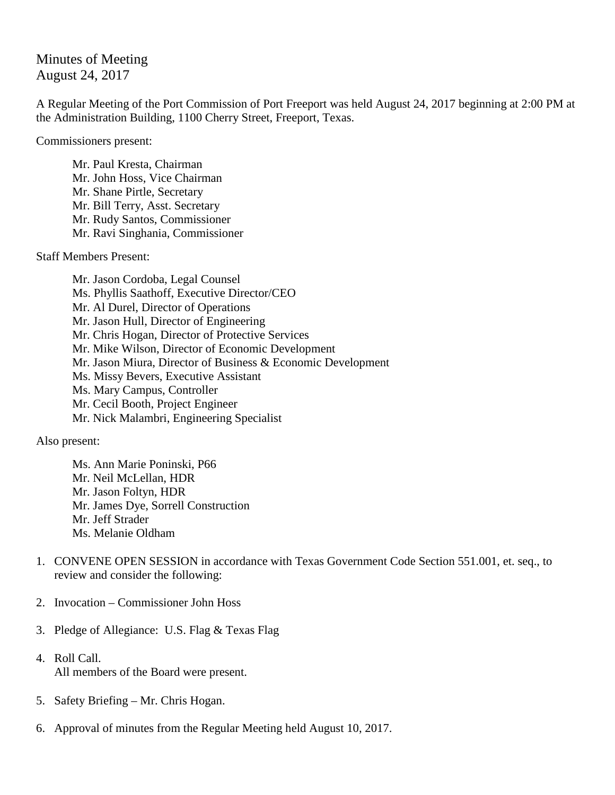Minutes of Meeting August 24, 2017

A Regular Meeting of the Port Commission of Port Freeport was held August 24, 2017 beginning at 2:00 PM at the Administration Building, 1100 Cherry Street, Freeport, Texas.

Commissioners present:

Mr. Paul Kresta, Chairman Mr. John Hoss, Vice Chairman Mr. Shane Pirtle, Secretary Mr. Bill Terry, Asst. Secretary Mr. Rudy Santos, Commissioner Mr. Ravi Singhania, Commissioner

Staff Members Present:

Mr. Jason Cordoba, Legal Counsel Ms. Phyllis Saathoff, Executive Director/CEO Mr. Al Durel, Director of Operations Mr. Jason Hull, Director of Engineering Mr. Chris Hogan, Director of Protective Services Mr. Mike Wilson, Director of Economic Development Mr. Jason Miura, Director of Business & Economic Development Ms. Missy Bevers, Executive Assistant Ms. Mary Campus, Controller Mr. Cecil Booth, Project Engineer Mr. Nick Malambri, Engineering Specialist

Also present:

Ms. Ann Marie Poninski, P66 Mr. Neil McLellan, HDR Mr. Jason Foltyn, HDR Mr. James Dye, Sorrell Construction Mr. Jeff Strader Ms. Melanie Oldham

- 1. CONVENE OPEN SESSION in accordance with Texas Government Code Section 551.001, et. seq., to review and consider the following:
- 2. Invocation Commissioner John Hoss
- 3. Pledge of Allegiance: U.S. Flag & Texas Flag
- 4. Roll Call. All members of the Board were present.
- 5. Safety Briefing Mr. Chris Hogan.
- 6. Approval of minutes from the Regular Meeting held August 10, 2017.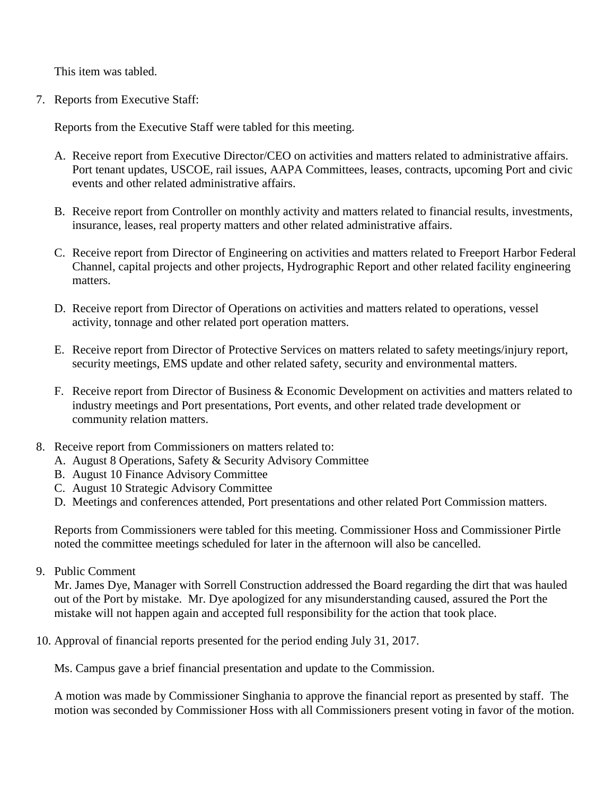This item was tabled.

7. Reports from Executive Staff:

Reports from the Executive Staff were tabled for this meeting.

- A. Receive report from Executive Director/CEO on activities and matters related to administrative affairs. Port tenant updates, USCOE, rail issues, AAPA Committees, leases, contracts, upcoming Port and civic events and other related administrative affairs.
- B. Receive report from Controller on monthly activity and matters related to financial results, investments, insurance, leases, real property matters and other related administrative affairs.
- C. Receive report from Director of Engineering on activities and matters related to Freeport Harbor Federal Channel, capital projects and other projects, Hydrographic Report and other related facility engineering matters.
- D. Receive report from Director of Operations on activities and matters related to operations, vessel activity, tonnage and other related port operation matters.
- E. Receive report from Director of Protective Services on matters related to safety meetings/injury report, security meetings, EMS update and other related safety, security and environmental matters.
- F. Receive report from Director of Business & Economic Development on activities and matters related to industry meetings and Port presentations, Port events, and other related trade development or community relation matters.
- 8. Receive report from Commissioners on matters related to:
	- A. August 8 Operations, Safety & Security Advisory Committee
	- B. August 10 Finance Advisory Committee
	- C. August 10 Strategic Advisory Committee
	- D. Meetings and conferences attended, Port presentations and other related Port Commission matters.

Reports from Commissioners were tabled for this meeting. Commissioner Hoss and Commissioner Pirtle noted the committee meetings scheduled for later in the afternoon will also be cancelled.

9. Public Comment

Mr. James Dye, Manager with Sorrell Construction addressed the Board regarding the dirt that was hauled out of the Port by mistake. Mr. Dye apologized for any misunderstanding caused, assured the Port the mistake will not happen again and accepted full responsibility for the action that took place.

10. Approval of financial reports presented for the period ending July 31, 2017.

Ms. Campus gave a brief financial presentation and update to the Commission.

A motion was made by Commissioner Singhania to approve the financial report as presented by staff. The motion was seconded by Commissioner Hoss with all Commissioners present voting in favor of the motion.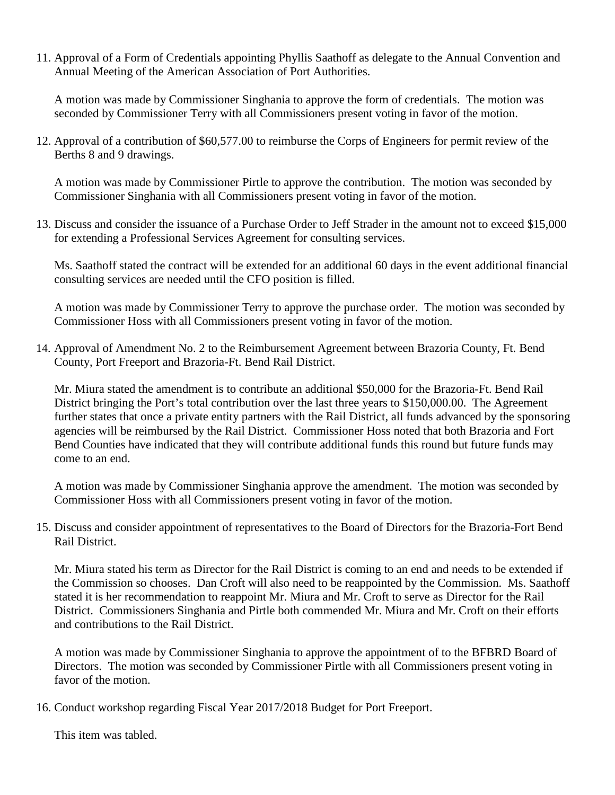11. Approval of a Form of Credentials appointing Phyllis Saathoff as delegate to the Annual Convention and Annual Meeting of the American Association of Port Authorities.

A motion was made by Commissioner Singhania to approve the form of credentials. The motion was seconded by Commissioner Terry with all Commissioners present voting in favor of the motion.

12. Approval of a contribution of \$60,577.00 to reimburse the Corps of Engineers for permit review of the Berths 8 and 9 drawings.

A motion was made by Commissioner Pirtle to approve the contribution. The motion was seconded by Commissioner Singhania with all Commissioners present voting in favor of the motion.

13. Discuss and consider the issuance of a Purchase Order to Jeff Strader in the amount not to exceed \$15,000 for extending a Professional Services Agreement for consulting services.

Ms. Saathoff stated the contract will be extended for an additional 60 days in the event additional financial consulting services are needed until the CFO position is filled.

A motion was made by Commissioner Terry to approve the purchase order. The motion was seconded by Commissioner Hoss with all Commissioners present voting in favor of the motion.

14. Approval of Amendment No. 2 to the Reimbursement Agreement between Brazoria County, Ft. Bend County, Port Freeport and Brazoria-Ft. Bend Rail District.

Mr. Miura stated the amendment is to contribute an additional \$50,000 for the Brazoria-Ft. Bend Rail District bringing the Port's total contribution over the last three years to \$150,000.00. The Agreement further states that once a private entity partners with the Rail District, all funds advanced by the sponsoring agencies will be reimbursed by the Rail District. Commissioner Hoss noted that both Brazoria and Fort Bend Counties have indicated that they will contribute additional funds this round but future funds may come to an end.

A motion was made by Commissioner Singhania approve the amendment. The motion was seconded by Commissioner Hoss with all Commissioners present voting in favor of the motion.

15. Discuss and consider appointment of representatives to the Board of Directors for the Brazoria-Fort Bend Rail District.

Mr. Miura stated his term as Director for the Rail District is coming to an end and needs to be extended if the Commission so chooses. Dan Croft will also need to be reappointed by the Commission. Ms. Saathoff stated it is her recommendation to reappoint Mr. Miura and Mr. Croft to serve as Director for the Rail District. Commissioners Singhania and Pirtle both commended Mr. Miura and Mr. Croft on their efforts and contributions to the Rail District.

A motion was made by Commissioner Singhania to approve the appointment of to the BFBRD Board of Directors. The motion was seconded by Commissioner Pirtle with all Commissioners present voting in favor of the motion.

16. Conduct workshop regarding Fiscal Year 2017/2018 Budget for Port Freeport.

This item was tabled.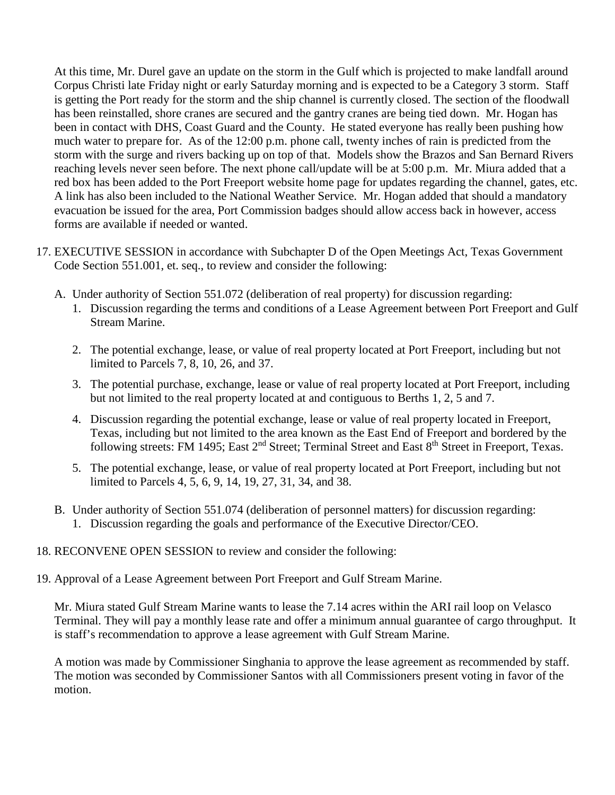At this time, Mr. Durel gave an update on the storm in the Gulf which is projected to make landfall around Corpus Christi late Friday night or early Saturday morning and is expected to be a Category 3 storm. Staff is getting the Port ready for the storm and the ship channel is currently closed. The section of the floodwall has been reinstalled, shore cranes are secured and the gantry cranes are being tied down. Mr. Hogan has been in contact with DHS, Coast Guard and the County. He stated everyone has really been pushing how much water to prepare for. As of the 12:00 p.m. phone call, twenty inches of rain is predicted from the storm with the surge and rivers backing up on top of that. Models show the Brazos and San Bernard Rivers reaching levels never seen before. The next phone call/update will be at 5:00 p.m. Mr. Miura added that a red box has been added to the Port Freeport website home page for updates regarding the channel, gates, etc. A link has also been included to the National Weather Service. Mr. Hogan added that should a mandatory evacuation be issued for the area, Port Commission badges should allow access back in however, access forms are available if needed or wanted.

- 17. EXECUTIVE SESSION in accordance with Subchapter D of the Open Meetings Act, Texas Government Code Section 551.001, et. seq., to review and consider the following:
	- A. Under authority of Section 551.072 (deliberation of real property) for discussion regarding:
		- 1. Discussion regarding the terms and conditions of a Lease Agreement between Port Freeport and Gulf Stream Marine.
		- 2. The potential exchange, lease, or value of real property located at Port Freeport, including but not limited to Parcels 7, 8, 10, 26, and 37.
		- 3. The potential purchase, exchange, lease or value of real property located at Port Freeport, including but not limited to the real property located at and contiguous to Berths 1, 2, 5 and 7.
		- 4. Discussion regarding the potential exchange, lease or value of real property located in Freeport, Texas, including but not limited to the area known as the East End of Freeport and bordered by the following streets: FM 1495; East 2<sup>nd</sup> Street; Terminal Street and East 8<sup>th</sup> Street in Freeport, Texas.
		- 5. The potential exchange, lease, or value of real property located at Port Freeport, including but not limited to Parcels 4, 5, 6, 9, 14, 19, 27, 31, 34, and 38.
	- B. Under authority of Section 551.074 (deliberation of personnel matters) for discussion regarding:
		- 1. Discussion regarding the goals and performance of the Executive Director/CEO.

## 18. RECONVENE OPEN SESSION to review and consider the following:

19. Approval of a Lease Agreement between Port Freeport and Gulf Stream Marine.

Mr. Miura stated Gulf Stream Marine wants to lease the 7.14 acres within the ARI rail loop on Velasco Terminal. They will pay a monthly lease rate and offer a minimum annual guarantee of cargo throughput. It is staff's recommendation to approve a lease agreement with Gulf Stream Marine.

A motion was made by Commissioner Singhania to approve the lease agreement as recommended by staff. The motion was seconded by Commissioner Santos with all Commissioners present voting in favor of the motion.